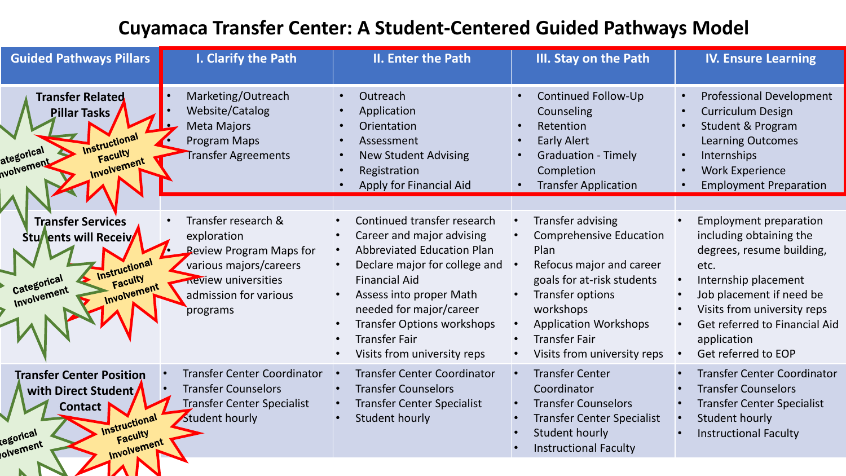## **Cuyamaca Transfer Center: A Student-Centered Guided Pathways Model**

| <b>Guided Pathways Pillars</b>                                                                                                              | I. Clarify the Path                                                                                                                                               | II. Enter the Path                                                                                                                                                                                                                                                                                       | III. Stay on the Path                                                                                                                                                                                                                                | <b>IV. Ensure Learning</b>                                                                                                                                                                                                                                                                     |
|---------------------------------------------------------------------------------------------------------------------------------------------|-------------------------------------------------------------------------------------------------------------------------------------------------------------------|----------------------------------------------------------------------------------------------------------------------------------------------------------------------------------------------------------------------------------------------------------------------------------------------------------|------------------------------------------------------------------------------------------------------------------------------------------------------------------------------------------------------------------------------------------------------|------------------------------------------------------------------------------------------------------------------------------------------------------------------------------------------------------------------------------------------------------------------------------------------------|
| <b>Transfer Related</b><br>Pillar Tasks<br><b>Instructional</b><br>ategorical<br>Faculty<br><b>Nolvement</b><br>Involvement                 | Marketing/Outreach<br>Website/Catalog<br><b>Meta Majors</b><br>Program Maps<br>Transfer Agreements                                                                | Outreach<br>Application<br>Orientation<br>Assessment<br><b>New Student Advising</b><br>Registration<br>Apply for Financial Aid                                                                                                                                                                           | <b>Continued Follow-Up</b><br>Counseling<br>Retention<br><b>Early Alert</b><br><b>Graduation - Timely</b><br>Completion<br><b>Transfer Application</b>                                                                                               | <b>Professional Development</b><br>$\bullet$<br><b>Curriculum Design</b><br><b>Student &amp; Program</b><br>$\bullet$<br><b>Learning Outcomes</b><br>Internships<br>$\bullet$<br><b>Work Experience</b><br>$\bullet$<br><b>Employment Preparation</b>                                          |
| <b>Transfer Services</b><br>Stu <b>/ents will Receiv</b><br><b>Instructional</b><br>Faculty<br>Categorical<br>Involvement<br>Involvement    | Transfer research &<br>exploration<br><b>Review Program Maps for</b><br>various majors/careers<br><b>Review universities</b><br>admission for various<br>programs | Continued transfer research<br>Career and major advising<br><b>Abbreviated Education Plan</b><br>Declare major for college and<br><b>Financial Aid</b><br>Assess into proper Math<br>needed for major/career<br><b>Transfer Options workshops</b><br><b>Transfer Fair</b><br>Visits from university reps | Transfer advising<br><b>Comprehensive Education</b><br>Plan<br>Refocus major and career<br>goals for at-risk students<br><b>Transfer options</b><br>workshops<br><b>Application Workshops</b><br><b>Transfer Fair</b><br>Visits from university reps | <b>Employment preparation</b><br>including obtaining the<br>degrees, resume building,<br>etc.<br>Internship placement<br>$\bullet$<br>Job placement if need be<br>Visits from university reps<br>$\bullet$<br>Get referred to Financial Aid<br>application<br>Get referred to EOP<br>$\bullet$ |
| <b>Transfer Center Position</b><br>with Direct Student<br><b>Contact</b><br>Instructional<br>Faculty<br>egorical<br>Involvement<br>olvement | <b>Transfer Center Coordinator</b><br><b>Transfer Counselors</b><br><b>Transfer Center Specialist</b><br>Student hourly                                           | <b>Transfer Center Coordinator</b><br><b>Transfer Counselors</b><br><b>Transfer Center Specialist</b><br>Student hourly                                                                                                                                                                                  | <b>Transfer Center</b><br>Coordinator<br><b>Transfer Counselors</b><br><b>Transfer Center Specialist</b><br>Student hourly<br><b>Instructional Faculty</b>                                                                                           | <b>Transfer Center Coordinator</b><br><b>Transfer Counselors</b><br><b>Transfer Center Specialist</b><br>Student hourly<br>$\bullet$<br><b>Instructional Faculty</b>                                                                                                                           |
|                                                                                                                                             |                                                                                                                                                                   |                                                                                                                                                                                                                                                                                                          |                                                                                                                                                                                                                                                      |                                                                                                                                                                                                                                                                                                |